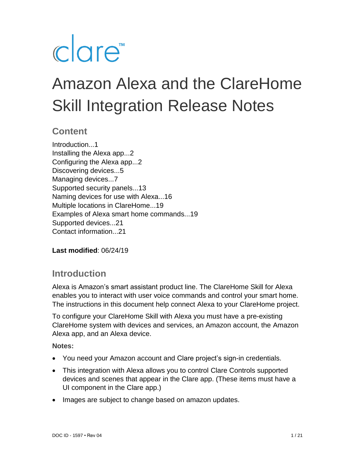# clare<sup>"</sup>

# Amazon Alexa and the ClareHome Skill Integration Release Notes

# **Content**

Introduction...1 Installing the Alexa app...2 Configuring the Alexa app...2 Discovering devices...5 Managing devices...7 Supported security panels...13 Naming devices for use with Alexa...16 Multiple locations in ClareHome...19 Examples of Alexa smart home commands...19 Supported devices...21 Contact information...21

**Last modified**: 06/24/19

# **Introduction**

Alexa is Amazon's smart assistant product line. The ClareHome Skill for Alexa enables you to interact with user voice commands and control your smart home. The instructions in this document help connect Alexa to your ClareHome project.

To configure your ClareHome Skill with Alexa you must have a pre-existing ClareHome system with devices and services, an Amazon account, the Amazon Alexa app, and an Alexa device.

- You need your Amazon account and Clare project's sign-in credentials.
- This integration with Alexa allows you to control Clare Controls supported devices and scenes that appear in the Clare app. (These items must have a UI component in the Clare app.)
- Images are subject to change based on amazon updates.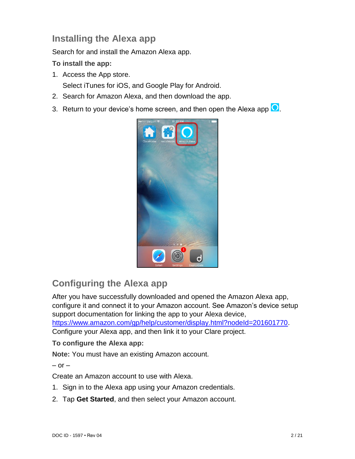# **Installing the Alexa app**

Search for and install the Amazon Alexa app.

**To install the app:** 

1. Access the App store.

Select iTunes for iOS, and Google Play for Android.

- 2. Search for Amazon Alexa, and then download the app.
- 3. Return to your device's home screen, and then open the Alexa app  $\overline{O}$ .



# **Configuring the Alexa app**

After you have successfully downloaded and opened the Amazon Alexa app, configure it and connect it to your Amazon account. See Amazon's device setup support documentation for linking the app to your Alexa device, [https://www.amazon.com/gp/help/customer/display.html?nodeId=201601770.](https://www.amazon.com/gp/help/customer/display.html?nodeId=201601770) Configure your Alexa app, and then link it to your Clare project.

#### **To configure the Alexa app:**

**Note:** You must have an existing Amazon account.

 $-$  or  $-$ 

Create an Amazon account to use with Alexa.

- 1. Sign in to the Alexa app using your Amazon credentials.
- 2. Tap **Get Started**, and then select your Amazon account.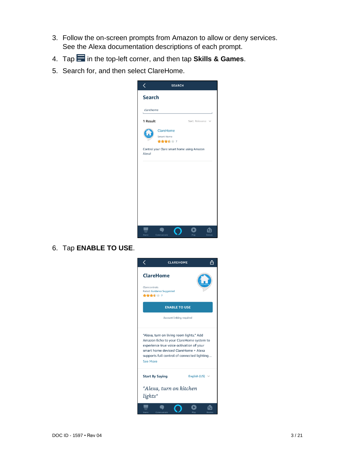- 3. Follow the on-screen prompts from Amazon to allow or deny services. See the Alexa documentation descriptions of each prompt.
- 4. Tap in the top-left corner, and then tap **Skills & Games**.
- 5. Search for, and then select ClareHome.



6. Tap **ENABLE TO USE**.

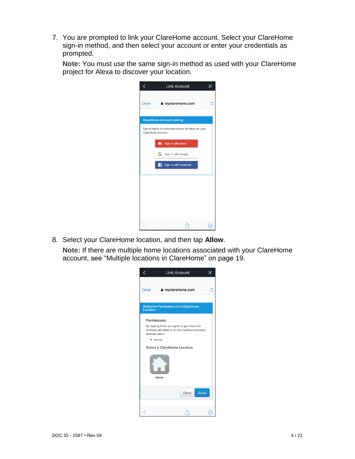7. You are prompted to link your ClareHome account. Select your ClareHome sign-in method, and then select your account or enter your credentials as prompted.

**Note:** You must use the same sign-in method as used with your ClareHome project for Alexa to discover your location.

| く    |                                  | <b>Link Account</b>                                  | × |
|------|----------------------------------|------------------------------------------------------|---|
| Done |                                  | myclarehome.com                                      | C |
|      | <b>ClareHome Account Linking</b> |                                                      |   |
|      | ClareHome account                | Sign in below to authorize actions for Alexa on your |   |
|      | ◛<br>Sign in with email          |                                                      |   |
|      | G Sign in with Google            |                                                      |   |
|      | Ŧ                                | Sign in with Facebook                                |   |
|      |                                  |                                                      |   |
|      |                                  |                                                      |   |
|      |                                  |                                                      |   |
|      |                                  |                                                      |   |
|      |                                  |                                                      |   |

8. Select your ClareHome location, and then tap **Allow**.

**Note:** If there are multiple home locations associated with your ClareHome account, see ["Multiple locations in ClareHome"](#page-18-0) on page [19.](#page-18-0)

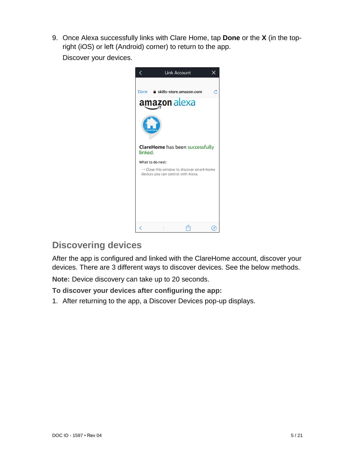9. Once Alexa successfully links with Clare Home, tap **Done** or the **X** (in the topright (iOS) or left (Android) corner) to return to the app.

Discover your devices.



# **Discovering devices**

After the app is configured and linked with the ClareHome account, discover your devices. There are 3 different ways to discover devices. See the below methods.

**Note:** Device discovery can take up to 20 seconds.

**To discover your devices after configuring the app:** 

1. After returning to the app, a Discover Devices pop-up displays.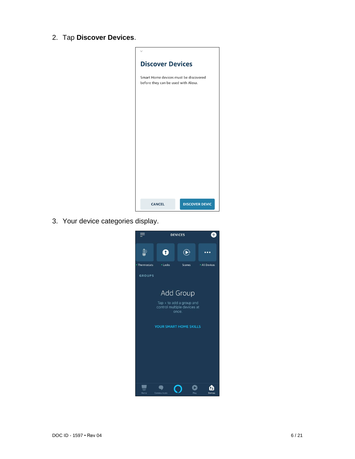2. Tap **Discover Devices**.



3. Your device categories display.

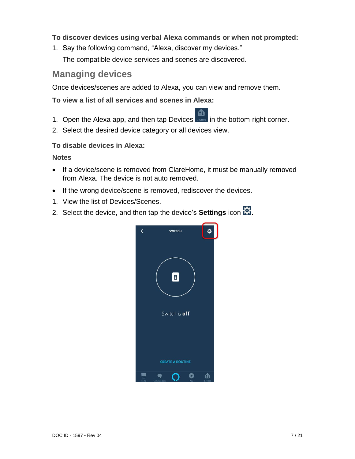#### **To discover devices using verbal Alexa commands or when not prompted:**

1. Say the following command, "Alexa, discover my devices." The compatible device services and scenes are discovered.

## **Managing devices**

Once devices/scenes are added to Alexa, you can view and remove them.

**To view a list of all services and scenes in Alexa:** 

- 1. Open the Alexa app, and then tap Devices **in the bottom-right corner.**
- 2. Select the desired device category or all devices view.

#### **To disable devices in Alexa:**

- If a device/scene is removed from ClareHome, it must be manually removed from Alexa. The device is not auto removed.
- If the wrong device/scene is removed, rediscover the devices.
- 1. View the list of Devices/Scenes.
- 2. Select the device, and then tap the device's **Settings** icon **...**

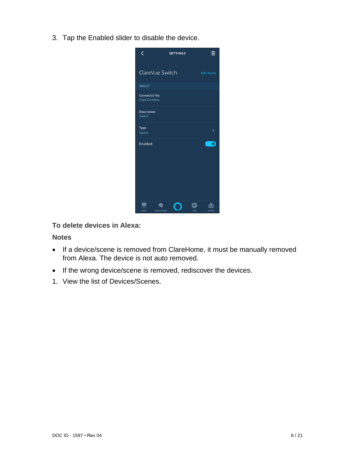3. Tap the Enabled slider to disable the device.



#### **To delete devices in Alexa:**

- If a device/scene is removed from ClareHome, it must be manually removed from Alexa. The device is not auto removed.
- If the wrong device/scene is removed, rediscover the devices.
- 1. View the list of Devices/Scenes.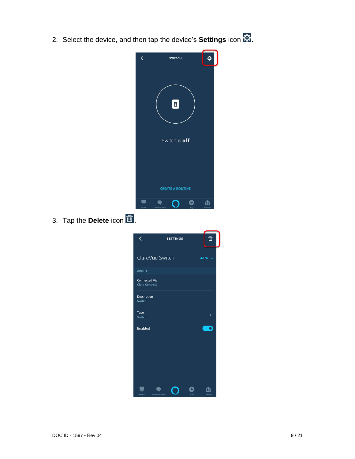2. Select the device, and then tap the device's **Settings** icon  $\overline{\mathbf{C}}$ .



3. Tap the **Delete** icon  $\overline{m}$ .

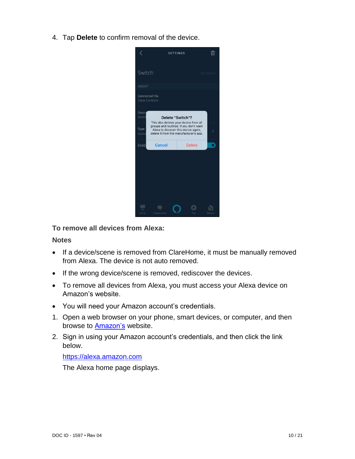4. Tap **Delete** to confirm removal of the device.



**To remove all devices from Alexa:** 

#### **Notes**

- If a device/scene is removed from ClareHome, it must be manually removed from Alexa. The device is not auto removed.
- If the wrong device/scene is removed, rediscover the devices.
- To remove all devices from Alexa, you must access your Alexa device on Amazon's website.
- You will need your Amazon account's credentials.
- 1. Open a web browser on your phone, smart devices, or computer, and then browse to [Amazon's](https://www.amazon.com/) website.
- 2. Sign in using your Amazon account's credentials, and then click the link below.

#### [https://alexa.amazon.com](https://alexa.amazon.com/)

The Alexa home page displays.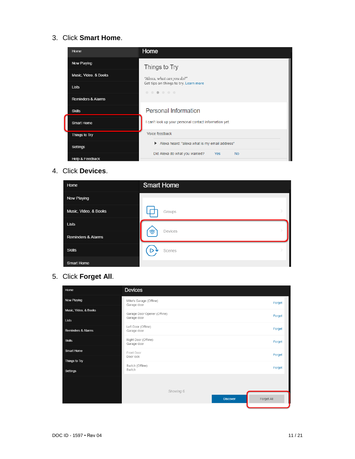#### 3. Click **Smart Home**.

| Home                       | Home                                                   |  |  |  |  |
|----------------------------|--------------------------------------------------------|--|--|--|--|
| Now Playing                | Things to Try                                          |  |  |  |  |
| Music, Video, & Books      | "Alexa, what can you do?"                              |  |  |  |  |
| <b>Lists</b>               | Get tips on things to try. Learn more<br>.             |  |  |  |  |
| Reminders & Alarms         |                                                        |  |  |  |  |
| <b>Skills</b>              | <b>Personal Information</b>                            |  |  |  |  |
| Smart Home                 | I can't look up your personal contact information yet. |  |  |  |  |
| Things to Try              | Voice feedback                                         |  |  |  |  |
| Settings                   | Alexa heard: "alexa what is my email address"          |  |  |  |  |
| <b>Help &amp; Feedback</b> | Did Alexa do what you wanted?<br>Yes<br><b>No</b>      |  |  |  |  |

#### 4. Click **Devices**.

| Home                          | <b>Smart Home</b> |
|-------------------------------|-------------------|
| Now Playing                   |                   |
| Music, Video, & Books         | Groups            |
| Lists                         | Devices           |
| <b>Reminders &amp; Alarms</b> | ′≅                |
| <b>Skills</b>                 | Scenes            |
| Smart Home                    |                   |

# 5. Click **Forget All**.

| Home                          | <b>Devices</b>                         |  |            |
|-------------------------------|----------------------------------------|--|------------|
| Now Playing                   | Mike's Garage (Offline)<br>Garage door |  | Forget     |
| Music, Video, & Books         | Garage Door Opener (Offline)           |  | Forget     |
| Lists                         | Garage door                            |  |            |
| <b>Reminders &amp; Alarms</b> | Left Door (Offline)<br>Garage door     |  | Forget     |
| <b>Skills</b>                 | Right Door (Offline)<br>Garage door    |  | Forget     |
| Smart Home                    | Front Door<br>Door lock                |  | Forget     |
| Things to Try                 |                                        |  |            |
| <b>Settings</b>               | Switch (Offline)<br>Switch             |  | Forget     |
|                               |                                        |  |            |
|                               | Showing 6.<br><b>Discover</b>          |  | Forget All |
|                               |                                        |  |            |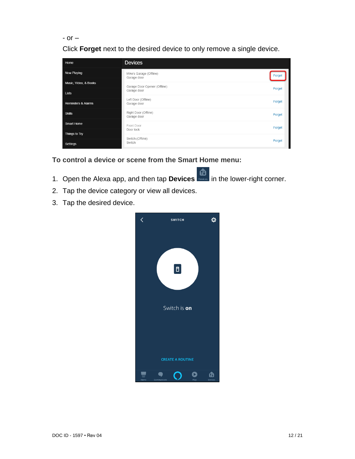```
- or –
```
Click **Forget** next to the desired device to only remove a single device.

| Home                          | <b>Devices</b>                         |        |
|-------------------------------|----------------------------------------|--------|
| <b>Now Playing</b>            | Mike's Garage (Offline)<br>Garage door | Forget |
| Music, Video, & Books         | Garage Door Opener (Offline)           | Forget |
| <b>Lists</b>                  | Garage door                            |        |
| <b>Reminders &amp; Alarms</b> | Left Door (Offline)<br>Garage door     |        |
| <b>Skills</b>                 | Right Door (Offline)<br>Garage door    | Forget |
| <b>Smart Home</b>             | Front Door                             | Forget |
| Things to Try                 | Door lock<br>Switch (Offline)          | Forget |
| Settings                      | Switch                                 |        |

**To control a device or scene from the Smart Home menu:** 

- </sub> 1. Open the Alexa app, and then tap **Devices** in the lower-right corner.
- 2. Tap the device category or view all devices.
- 3. Tap the desired device.

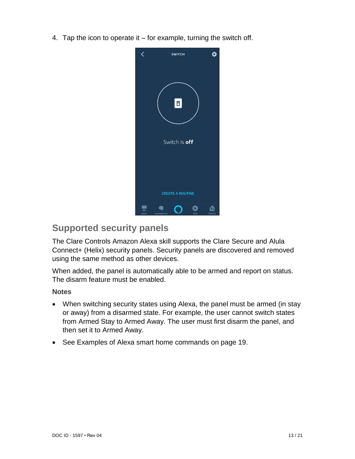4. Tap the icon to operate it  $-$  for example, turning the switch off.



# **Supported security panels**

The Clare Controls Amazon Alexa skill supports the Clare Secure and Alula Connect+ (Helix) security panels. Security panels are discovered and removed using the same method as other devices.

When added, the panel is automatically able to be armed and report on status. The disarm feature must be enabled.

- When switching security states using Alexa, the panel must be armed (in stay or away) from a disarmed state. For example, the user cannot switch states from Armed Stay to Armed Away. The user must first disarm the panel, and then set it to Armed Away.
- See [Examples of Alexa smart home commands](#page-18-1) on page [19.](#page-18-1)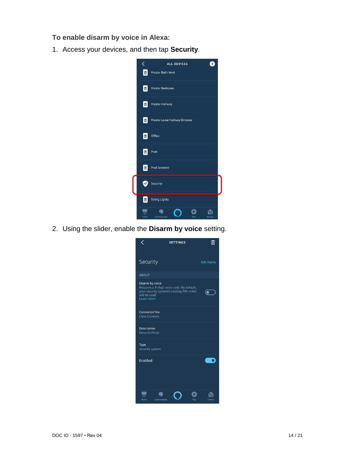**To enable disarm by voice in Alexa:** 

1. Access your devices, and then tap **Security**.



2. Using the slider, enable the **Disarm by voice** setting.

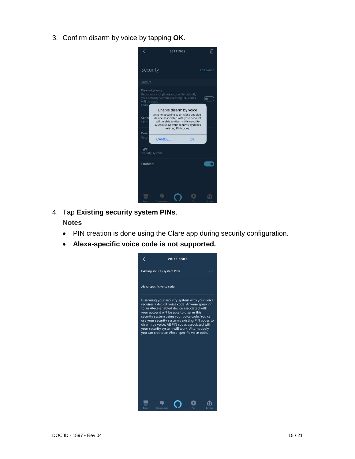3. Confirm disarm by voice by tapping **OK**.



4. Tap **Existing security system PINs**.

- PIN creation is done using the Clare app during security configuration.
- **Alexa-specific voice code is not supported.**

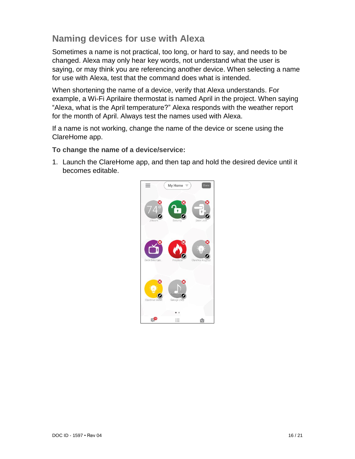# **Naming devices for use with Alexa**

Sometimes a name is not practical, too long, or hard to say, and needs to be changed. Alexa may only hear key words, not understand what the user is saying, or may think you are referencing another device. When selecting a name for use with Alexa, test that the command does what is intended.

When shortening the name of a device, verify that Alexa understands. For example, a Wi-Fi Aprilaire thermostat is named April in the project. When saying "Alexa, what is the April temperature?" Alexa responds with the weather report for the month of April. Always test the names used with Alexa.

If a name is not working, change the name of the device or scene using the ClareHome app.

**To change the name of a device/service:** 

1. Launch the ClareHome app, and then tap and hold the desired device until it becomes editable.

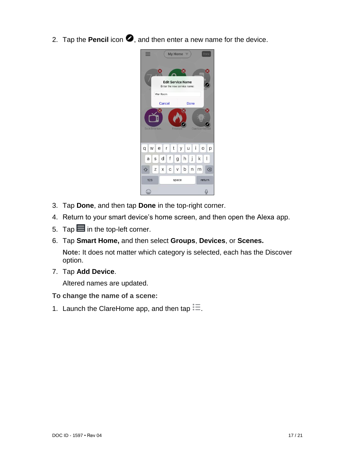2. Tap the **Pencil** icon  $\bullet$ , and then enter a new name for the device.



- 3. Tap **Done**, and then tap **Done** in the top-right corner.
- 4. Return to your smart device's home screen, and then open the Alexa app.
- 5. Tap  $\blacksquare$  in the top-left corner.
- 6. Tap **Smart Home,** and then select **Groups**, **Devices**, or **Scenes.**

**Note:** It does not matter which category is selected, each has the Discover option.

7. Tap **Add Device**.

Altered names are updated.

- **To change the name of a scene:**
- 1. Launch the ClareHome app, and then tap  $\ddot{=}$ .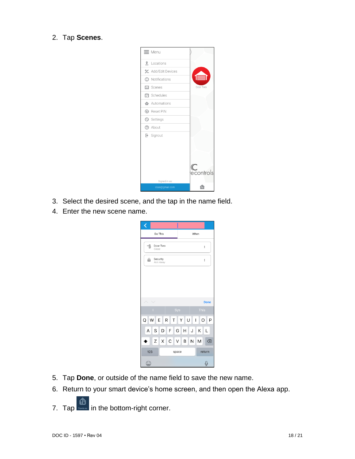2. Tap **Scenes**.



- 3. Select the desired scene, and the tap in the name field.
- 4. Enter the new scene name.

| ¢                                             |       |   |      |        |   |   |             |  |
|-----------------------------------------------|-------|---|------|--------|---|---|-------------|--|
| Do This                                       |       |   | When |        |   |   |             |  |
| Door Two<br>킓<br>Close                        |       |   | İ    |        |   |   |             |  |
| Security<br>a<br>Arm Away                     |       |   |      | į      |   |   |             |  |
|                                               |       |   |      |        |   |   |             |  |
|                                               |       |   |      |        |   |   | <b>Done</b> |  |
|                                               |       |   | Sys  |        |   |   | <b>This</b> |  |
| W<br>Q<br>R<br>P<br>E<br>YU<br>H.<br>l T<br>O |       |   |      |        |   |   |             |  |
| S<br>A                                        | D     | F | G    | Н      | J | Κ | L           |  |
| Ζ                                             | Χ     | C | V    | B      | Ν | M | ⊗           |  |
| 123                                           | space |   |      | return |   |   |             |  |
| €                                             |       |   |      |        |   |   | J           |  |

- 5. Tap **Done**, or outside of the name field to save the new name.
- 6. Return to your smart device's home screen, and then open the Alexa app.
- 7. Tap  $\frac{1}{\sqrt{2}}$  in the bottom-right corner.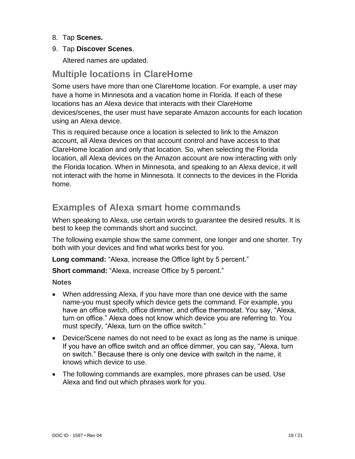- 8. Tap **Scenes.**
- 9. Tap **Discover Scenes**.

Altered names are updated.

# <span id="page-18-0"></span>**Multiple locations in ClareHome**

Some users have more than one ClareHome location. For example, a user may have a home in Minnesota and a vacation home in Florida. If each of these locations has an Alexa device that interacts with their ClareHome devices/scenes, the user must have separate Amazon accounts for each location using an Alexa device.

This is required because once a location is selected to link to the Amazon account, all Alexa devices on that account control and have access to that ClareHome location and only that location. So, when selecting the Florida location, all Alexa devices on the Amazon account are now interacting with only the Florida location. When in Minnesota, and speaking to an Alexa device, it will not interact with the home in Minnesota. It connects to the devices in the Florida home.

# <span id="page-18-1"></span>**Examples of Alexa smart home commands**

When speaking to Alexa, use certain words to guarantee the desired results. It is best to keep the commands short and succinct.

The following example show the same comment, one longer and one shorter. Try both with your devices and find what works best for you.

**Long command:** "Alexa, increase the Office light by 5 percent."

**Short command:** "Alexa, increase Office by 5 percent."

- When addressing Alexa, if you have more than one device with the same name-you must specify which device gets the command. For example, you have an office switch, office dimmer, and office thermostat. You say, "Alexa, turn on office." Alexa does not know which device you are referring to. You must specify, "Alexa, turn on the office switch."
- Device/Scene names do not need to be exact as long as the name is unique. If you have an office switch and an office dimmer, you can say, "Alexa, turn on switch." Because there is only one device with switch in the name, it knows which device to use.
- The following commands are examples, more phrases can be used. Use Alexa and find out which phrases work for you.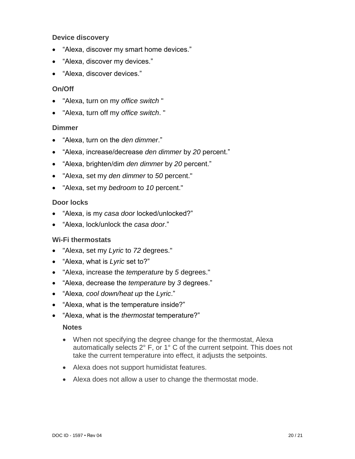#### **Device discovery**

- "Alexa, discover my smart home devices."
- "Alexa, discover my devices."
- "Alexa, discover devices."

#### **On/Off**

- "Alexa, turn on my *office switch* "
- "Alexa, turn off my *office switch*. "

#### **Dimmer**

- "Alexa, turn on the *den dimmer*."
- "Alexa, increase/decrease *den dimmer* by *20* percent."
- "Alexa, brighten/dim *den dimmer* by *20* percent."
- "Alexa, set my *den dimmer* to *50* percent."
- "Alexa, set my *bedroom* to *10* percent."

#### **Door locks**

- "Alexa, is my *casa door* locked/unlocked?"
- "Alexa, lock/unlock the *casa door*."

#### **Wi-Fi thermostats**

- "Alexa, set my *Lyric* to *72* degrees."
- "Alexa, what is *Lyric* set to?"
- "Alexa, increase the *temperature* by *5* degrees."
- "Alexa, decrease the *temperature* by *3* degrees."
- "Alexa*, cool down/heat up* the *Lyric*."
- "Alexa, what is the temperature inside?"
- "Alexa, what is the *thermostat* temperature?"

- When not specifying the degree change for the thermostat, Alexa automatically selects 2° F, or 1° C of the current setpoint. This does not take the current temperature into effect, it adjusts the setpoints.
- Alexa does not support humidistat features.
- Alexa does not allow a user to change the thermostat mode.